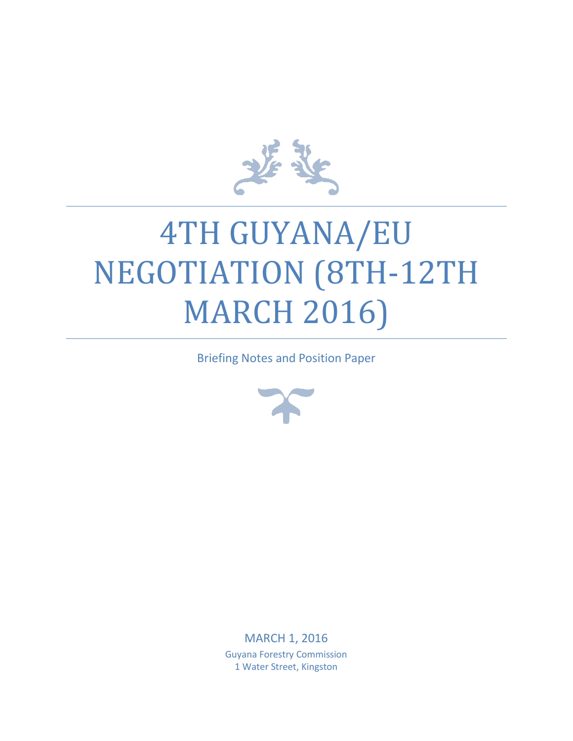

# 4TH GUYANA/EU NEGOTIATION (8TH-12TH **MARCH 2016**

Briefing Notes and Position Paper



MARCH 1, 2016 Guyana Forestry Commission 1 Water Street, Kingston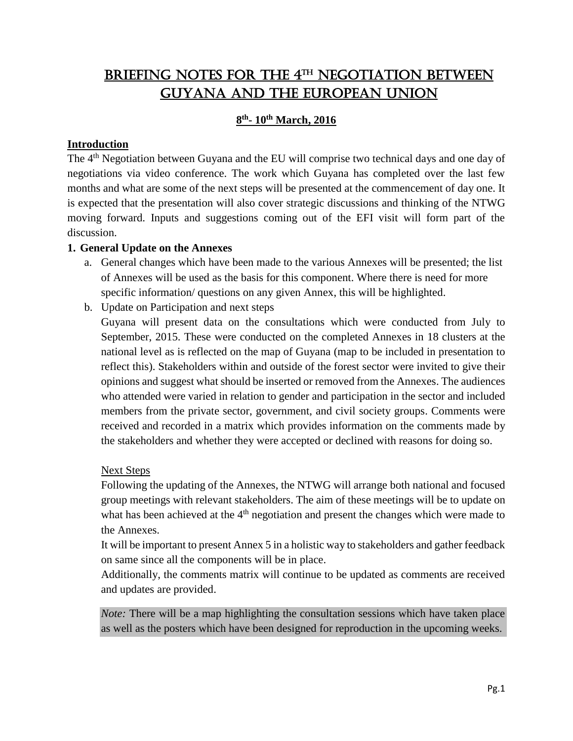# BRIEFING NOTES FOR THE 4TH NEGOTIATION BETWEEN Guyana and the European Union

# **8 th - 10th March, 2016**

# **Introduction**

The 4<sup>th</sup> Negotiation between Guyana and the EU will comprise two technical days and one day of negotiations via video conference. The work which Guyana has completed over the last few months and what are some of the next steps will be presented at the commencement of day one. It is expected that the presentation will also cover strategic discussions and thinking of the NTWG moving forward. Inputs and suggestions coming out of the EFI visit will form part of the discussion.

#### **1. General Update on the Annexes**

- a. General changes which have been made to the various Annexes will be presented; the list of Annexes will be used as the basis for this component. Where there is need for more specific information/ questions on any given Annex, this will be highlighted.
- b. Update on Participation and next steps

Guyana will present data on the consultations which were conducted from July to September, 2015. These were conducted on the completed Annexes in 18 clusters at the national level as is reflected on the map of Guyana (map to be included in presentation to reflect this). Stakeholders within and outside of the forest sector were invited to give their opinions and suggest what should be inserted or removed from the Annexes. The audiences who attended were varied in relation to gender and participation in the sector and included members from the private sector, government, and civil society groups. Comments were received and recorded in a matrix which provides information on the comments made by the stakeholders and whether they were accepted or declined with reasons for doing so.

#### Next Steps

Following the updating of the Annexes, the NTWG will arrange both national and focused group meetings with relevant stakeholders. The aim of these meetings will be to update on what has been achieved at the  $4<sup>th</sup>$  negotiation and present the changes which were made to the Annexes.

It will be important to present Annex 5 in a holistic way to stakeholders and gather feedback on same since all the components will be in place.

Additionally, the comments matrix will continue to be updated as comments are received and updates are provided.

*Note:* There will be a map highlighting the consultation sessions which have taken place as well as the posters which have been designed for reproduction in the upcoming weeks.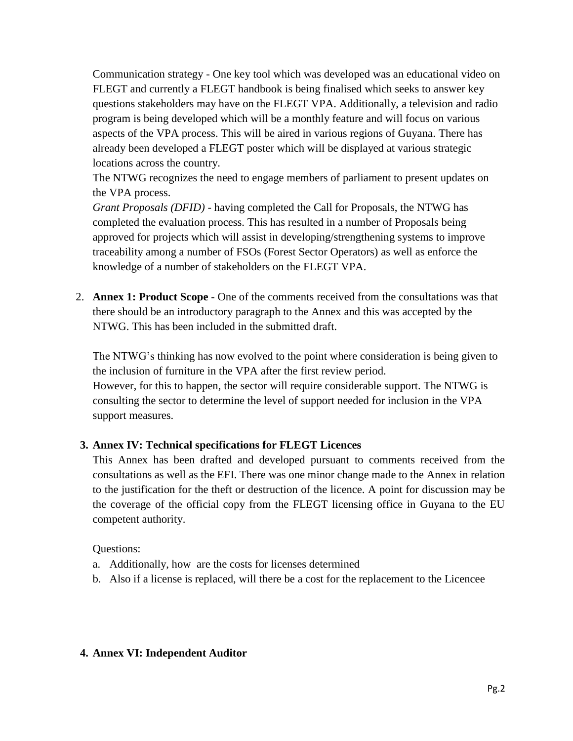Communication strategy - One key tool which was developed was an educational video on FLEGT and currently a FLEGT handbook is being finalised which seeks to answer key questions stakeholders may have on the FLEGT VPA. Additionally, a television and radio program is being developed which will be a monthly feature and will focus on various aspects of the VPA process. This will be aired in various regions of Guyana. There has already been developed a FLEGT poster which will be displayed at various strategic locations across the country.

The NTWG recognizes the need to engage members of parliament to present updates on the VPA process.

*Grant Proposals (DFID)* - having completed the Call for Proposals, the NTWG has completed the evaluation process. This has resulted in a number of Proposals being approved for projects which will assist in developing/strengthening systems to improve traceability among a number of FSOs (Forest Sector Operators) as well as enforce the knowledge of a number of stakeholders on the FLEGT VPA.

2. **Annex 1: Product Scope** - One of the comments received from the consultations was that there should be an introductory paragraph to the Annex and this was accepted by the NTWG. This has been included in the submitted draft.

The NTWG's thinking has now evolved to the point where consideration is being given to the inclusion of furniture in the VPA after the first review period. However, for this to happen, the sector will require considerable support. The NTWG is consulting the sector to determine the level of support needed for inclusion in the VPA support measures.

# **3. Annex IV: Technical specifications for FLEGT Licences**

This Annex has been drafted and developed pursuant to comments received from the consultations as well as the EFI. There was one minor change made to the Annex in relation to the justification for the theft or destruction of the licence. A point for discussion may be the coverage of the official copy from the FLEGT licensing office in Guyana to the EU competent authority.

# Questions:

- a. Additionally, how are the costs for licenses determined
- b. Also if a license is replaced, will there be a cost for the replacement to the Licencee

# **4. Annex VI: Independent Auditor**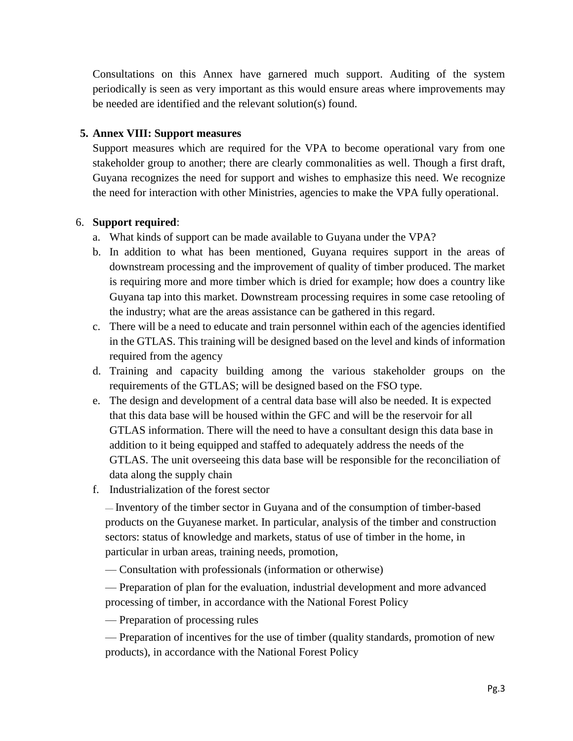Consultations on this Annex have garnered much support. Auditing of the system periodically is seen as very important as this would ensure areas where improvements may be needed are identified and the relevant solution(s) found.

#### **5. Annex VIII: Support measures**

Support measures which are required for the VPA to become operational vary from one stakeholder group to another; there are clearly commonalities as well. Though a first draft, Guyana recognizes the need for support and wishes to emphasize this need. We recognize the need for interaction with other Ministries, agencies to make the VPA fully operational.

#### 6. **Support required**:

- a. What kinds of support can be made available to Guyana under the VPA?
- b. In addition to what has been mentioned, Guyana requires support in the areas of downstream processing and the improvement of quality of timber produced. The market is requiring more and more timber which is dried for example; how does a country like Guyana tap into this market. Downstream processing requires in some case retooling of the industry; what are the areas assistance can be gathered in this regard.
- c. There will be a need to educate and train personnel within each of the agencies identified in the GTLAS. This training will be designed based on the level and kinds of information required from the agency
- d. Training and capacity building among the various stakeholder groups on the requirements of the GTLAS; will be designed based on the FSO type.
- e. The design and development of a central data base will also be needed. It is expected that this data base will be housed within the GFC and will be the reservoir for all GTLAS information. There will the need to have a consultant design this data base in addition to it being equipped and staffed to adequately address the needs of the GTLAS. The unit overseeing this data base will be responsible for the reconciliation of data along the supply chain
- f. Industrialization of the forest sector

— Inventory of the timber sector in Guyana and of the consumption of timber-based products on the Guyanese market. In particular, analysis of the timber and construction sectors: status of knowledge and markets, status of use of timber in the home, in particular in urban areas, training needs, promotion,

— Consultation with professionals (information or otherwise)

— Preparation of plan for the evaluation, industrial development and more advanced processing of timber, in accordance with the National Forest Policy

— Preparation of processing rules

— Preparation of incentives for the use of timber (quality standards, promotion of new products), in accordance with the National Forest Policy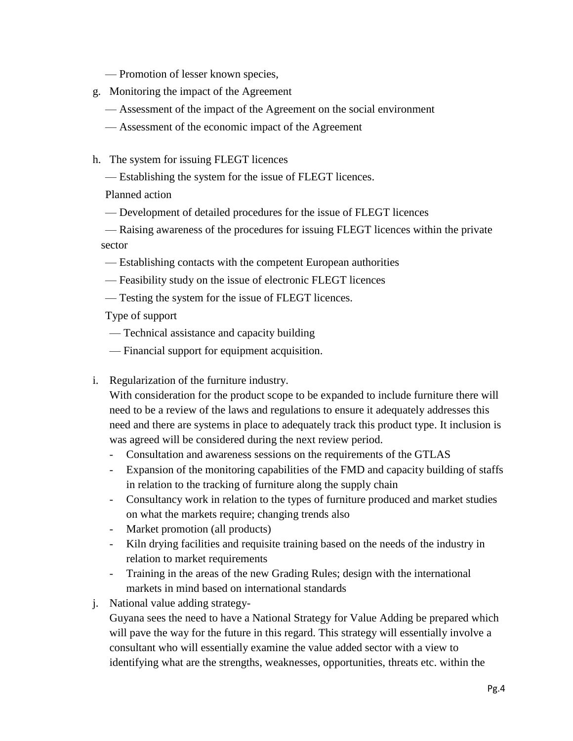— Promotion of lesser known species,

- g. Monitoring the impact of the Agreement
	- Assessment of the impact of the Agreement on the social environment
	- Assessment of the economic impact of the Agreement
- h. The system for issuing FLEGT licences
	- Establishing the system for the issue of FLEGT licences.

Planned action

— Development of detailed procedures for the issue of FLEGT licences

— Raising awareness of the procedures for issuing FLEGT licences within the private sector

- Establishing contacts with the competent European authorities
- Feasibility study on the issue of electronic FLEGT licences
- Testing the system for the issue of FLEGT licences.

Type of support

- Technical assistance and capacity building
- Financial support for equipment acquisition.
- i. Regularization of the furniture industry.

With consideration for the product scope to be expanded to include furniture there will need to be a review of the laws and regulations to ensure it adequately addresses this need and there are systems in place to adequately track this product type. It inclusion is was agreed will be considered during the next review period.

- Consultation and awareness sessions on the requirements of the GTLAS
- Expansion of the monitoring capabilities of the FMD and capacity building of staffs in relation to the tracking of furniture along the supply chain
- Consultancy work in relation to the types of furniture produced and market studies on what the markets require; changing trends also
- Market promotion (all products)
- Kiln drying facilities and requisite training based on the needs of the industry in relation to market requirements
- Training in the areas of the new Grading Rules; design with the international markets in mind based on international standards
- j. National value adding strategy-

Guyana sees the need to have a National Strategy for Value Adding be prepared which will pave the way for the future in this regard. This strategy will essentially involve a consultant who will essentially examine the value added sector with a view to identifying what are the strengths, weaknesses, opportunities, threats etc. within the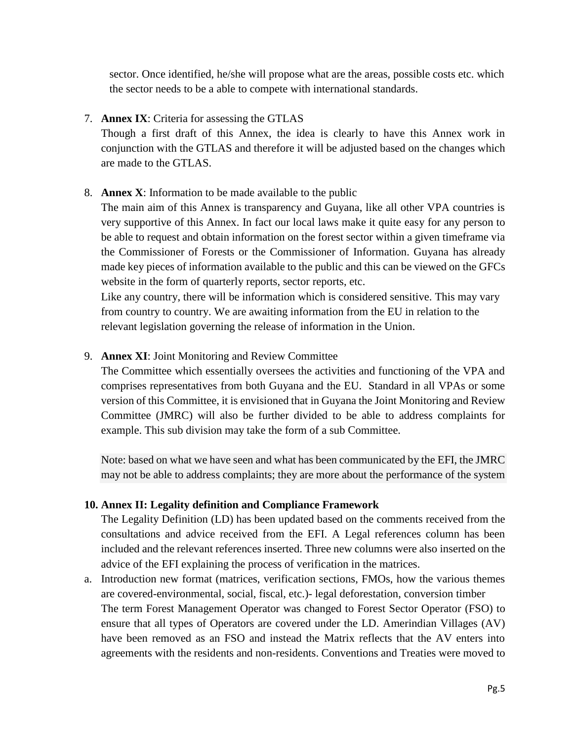sector. Once identified, he/she will propose what are the areas, possible costs etc. which the sector needs to be a able to compete with international standards.

# 7. **Annex IX**: Criteria for assessing the GTLAS

Though a first draft of this Annex, the idea is clearly to have this Annex work in conjunction with the GTLAS and therefore it will be adjusted based on the changes which are made to the GTLAS.

# 8. **Annex X**: Information to be made available to the public

The main aim of this Annex is transparency and Guyana, like all other VPA countries is very supportive of this Annex. In fact our local laws make it quite easy for any person to be able to request and obtain information on the forest sector within a given timeframe via the Commissioner of Forests or the Commissioner of Information. Guyana has already made key pieces of information available to the public and this can be viewed on the GFCs website in the form of quarterly reports, sector reports, etc.

Like any country, there will be information which is considered sensitive. This may vary from country to country. We are awaiting information from the EU in relation to the relevant legislation governing the release of information in the Union.

# 9. **Annex XI**: Joint Monitoring and Review Committee

The Committee which essentially oversees the activities and functioning of the VPA and comprises representatives from both Guyana and the EU. Standard in all VPAs or some version of this Committee, it is envisioned that in Guyana the Joint Monitoring and Review Committee (JMRC) will also be further divided to be able to address complaints for example. This sub division may take the form of a sub Committee.

Note: based on what we have seen and what has been communicated by the EFI, the JMRC may not be able to address complaints; they are more about the performance of the system

# **10. Annex II: Legality definition and Compliance Framework**

The Legality Definition (LD) has been updated based on the comments received from the consultations and advice received from the EFI. A Legal references column has been included and the relevant references inserted. Three new columns were also inserted on the advice of the EFI explaining the process of verification in the matrices.

a. Introduction new format (matrices, verification sections, FMOs, how the various themes are covered-environmental, social, fiscal, etc.)- legal deforestation, conversion timber The term Forest Management Operator was changed to Forest Sector Operator (FSO) to ensure that all types of Operators are covered under the LD. Amerindian Villages (AV) have been removed as an FSO and instead the Matrix reflects that the AV enters into agreements with the residents and non-residents. Conventions and Treaties were moved to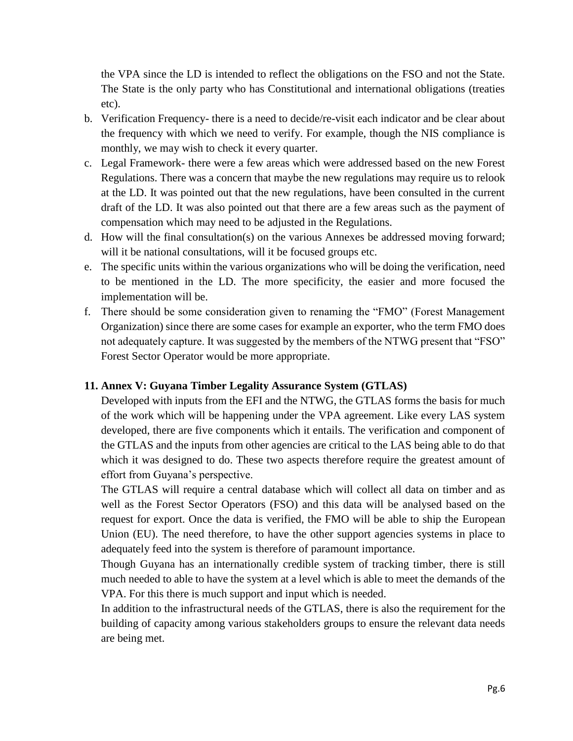the VPA since the LD is intended to reflect the obligations on the FSO and not the State. The State is the only party who has Constitutional and international obligations (treaties etc).

- b. Verification Frequency- there is a need to decide/re-visit each indicator and be clear about the frequency with which we need to verify. For example, though the NIS compliance is monthly, we may wish to check it every quarter.
- c. Legal Framework- there were a few areas which were addressed based on the new Forest Regulations. There was a concern that maybe the new regulations may require us to relook at the LD. It was pointed out that the new regulations, have been consulted in the current draft of the LD. It was also pointed out that there are a few areas such as the payment of compensation which may need to be adjusted in the Regulations.
- d. How will the final consultation(s) on the various Annexes be addressed moving forward; will it be national consultations, will it be focused groups etc.
- e. The specific units within the various organizations who will be doing the verification, need to be mentioned in the LD. The more specificity, the easier and more focused the implementation will be.
- f. There should be some consideration given to renaming the "FMO" (Forest Management Organization) since there are some cases for example an exporter, who the term FMO does not adequately capture. It was suggested by the members of the NTWG present that "FSO" Forest Sector Operator would be more appropriate.

# **11. Annex V: Guyana Timber Legality Assurance System (GTLAS)**

Developed with inputs from the EFI and the NTWG, the GTLAS forms the basis for much of the work which will be happening under the VPA agreement. Like every LAS system developed, there are five components which it entails. The verification and component of the GTLAS and the inputs from other agencies are critical to the LAS being able to do that which it was designed to do. These two aspects therefore require the greatest amount of effort from Guyana's perspective.

The GTLAS will require a central database which will collect all data on timber and as well as the Forest Sector Operators (FSO) and this data will be analysed based on the request for export. Once the data is verified, the FMO will be able to ship the European Union (EU). The need therefore, to have the other support agencies systems in place to adequately feed into the system is therefore of paramount importance.

Though Guyana has an internationally credible system of tracking timber, there is still much needed to able to have the system at a level which is able to meet the demands of the VPA. For this there is much support and input which is needed.

In addition to the infrastructural needs of the GTLAS, there is also the requirement for the building of capacity among various stakeholders groups to ensure the relevant data needs are being met.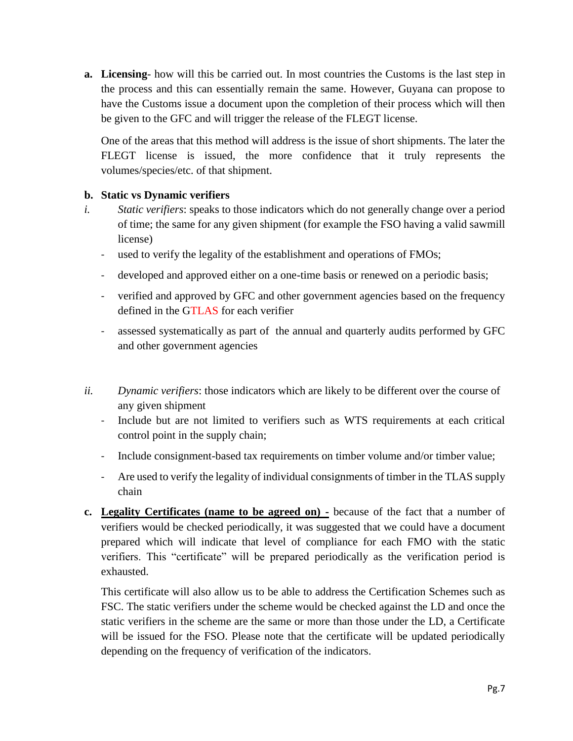**a. Licensing**- how will this be carried out. In most countries the Customs is the last step in the process and this can essentially remain the same. However, Guyana can propose to have the Customs issue a document upon the completion of their process which will then be given to the GFC and will trigger the release of the FLEGT license.

One of the areas that this method will address is the issue of short shipments. The later the FLEGT license is issued, the more confidence that it truly represents the volumes/species/etc. of that shipment.

# **b. Static vs Dynamic verifiers**

- *i. Static verifiers*: speaks to those indicators which do not generally change over a period of time; the same for any given shipment (for example the FSO having a valid sawmill license)
	- used to verify the legality of the establishment and operations of FMOs;
	- developed and approved either on a one-time basis or renewed on a periodic basis;
	- verified and approved by GFC and other government agencies based on the frequency defined in the GTLAS for each verifier
	- assessed systematically as part of the annual and quarterly audits performed by GFC and other government agencies
- *ii. Dynamic verifiers*: those indicators which are likely to be different over the course of any given shipment
	- Include but are not limited to verifiers such as WTS requirements at each critical control point in the supply chain;
	- Include consignment-based tax requirements on timber volume and/or timber value;
	- Are used to verify the legality of individual consignments of timber in the TLAS supply chain
- **c. Legality Certificates (name to be agreed on) -** because of the fact that a number of verifiers would be checked periodically, it was suggested that we could have a document prepared which will indicate that level of compliance for each FMO with the static verifiers. This "certificate" will be prepared periodically as the verification period is exhausted.

This certificate will also allow us to be able to address the Certification Schemes such as FSC. The static verifiers under the scheme would be checked against the LD and once the static verifiers in the scheme are the same or more than those under the LD, a Certificate will be issued for the FSO. Please note that the certificate will be updated periodically depending on the frequency of verification of the indicators.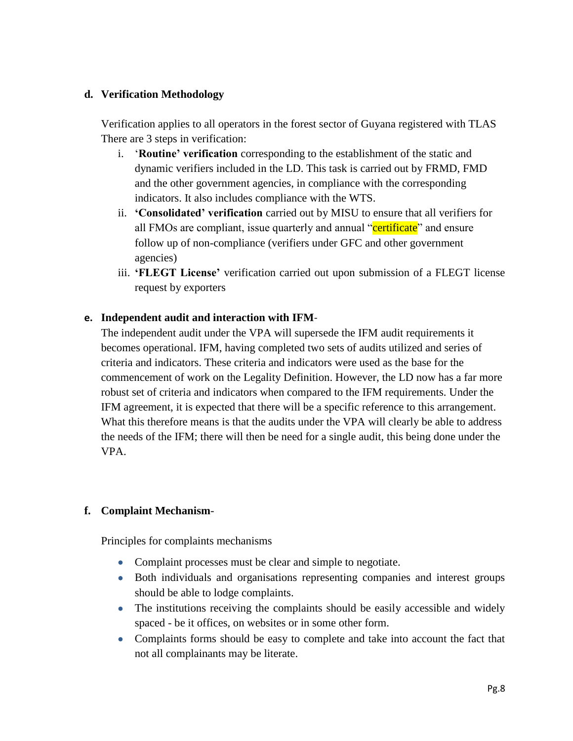#### **d. Verification Methodology**

Verification applies to all operators in the forest sector of Guyana registered with TLAS There are 3 steps in verification:

- i. '**Routine' verification** corresponding to the establishment of the static and dynamic verifiers included in the LD. This task is carried out by FRMD, FMD and the other government agencies, in compliance with the corresponding indicators. It also includes compliance with the WTS.
- ii. **'Consolidated' verification** carried out by MISU to ensure that all verifiers for all FMOs are compliant, issue quarterly and annual "certificate" and ensure follow up of non-compliance (verifiers under GFC and other government agencies)
- iii. **'FLEGT License'** verification carried out upon submission of a FLEGT license request by exporters

#### **e. Independent audit and interaction with IFM**-

The independent audit under the VPA will supersede the IFM audit requirements it becomes operational. IFM, having completed two sets of audits utilized and series of criteria and indicators. These criteria and indicators were used as the base for the commencement of work on the Legality Definition. However, the LD now has a far more robust set of criteria and indicators when compared to the IFM requirements. Under the IFM agreement, it is expected that there will be a specific reference to this arrangement. What this therefore means is that the audits under the VPA will clearly be able to address the needs of the IFM; there will then be need for a single audit, this being done under the VPA.

# **f. Complaint Mechanism**-

Principles for complaints mechanisms

- Complaint processes must be clear and simple to negotiate.
- Both individuals and organisations representing companies and interest groups should be able to lodge complaints.
- The institutions receiving the complaints should be easily accessible and widely spaced - be it offices, on websites or in some other form.
- Complaints forms should be easy to complete and take into account the fact that not all complainants may be literate.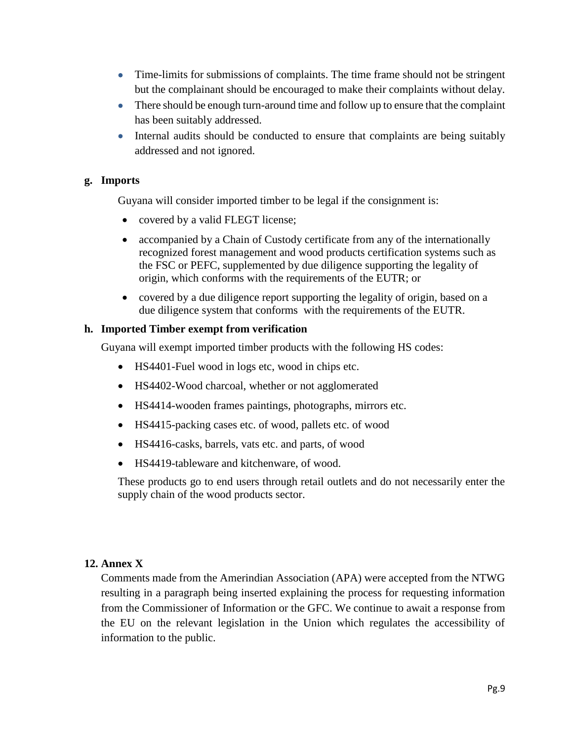- Time-limits for submissions of complaints. The time frame should not be stringent but the complainant should be encouraged to make their complaints without delay.
- There should be enough turn-around time and follow up to ensure that the complaint has been suitably addressed.
- Internal audits should be conducted to ensure that complaints are being suitably addressed and not ignored.

#### **g. Imports**

Guyana will consider imported timber to be legal if the consignment is:

- covered by a valid FLEGT license;
- accompanied by a Chain of Custody certificate from any of the internationally recognized forest management and wood products certification systems such as the FSC or PEFC, supplemented by due diligence supporting the legality of origin, which conforms with the requirements of the EUTR; or
- covered by a due diligence report supporting the legality of origin, based on a due diligence system that conforms with the requirements of the EUTR.

#### **h. Imported Timber exempt from verification**

Guyana will exempt imported timber products with the following HS codes:

- HS4401-Fuel wood in logs etc, wood in chips etc.
- HS4402-Wood charcoal, whether or not agglomerated
- HS4414-wooden frames paintings, photographs, mirrors etc.
- HS4415-packing cases etc. of wood, pallets etc. of wood
- HS4416-casks, barrels, vats etc. and parts, of wood
- HS4419-tableware and kitchenware, of wood.

These products go to end users through retail outlets and do not necessarily enter the supply chain of the wood products sector.

#### **12. Annex X**

Comments made from the Amerindian Association (APA) were accepted from the NTWG resulting in a paragraph being inserted explaining the process for requesting information from the Commissioner of Information or the GFC. We continue to await a response from the EU on the relevant legislation in the Union which regulates the accessibility of information to the public.